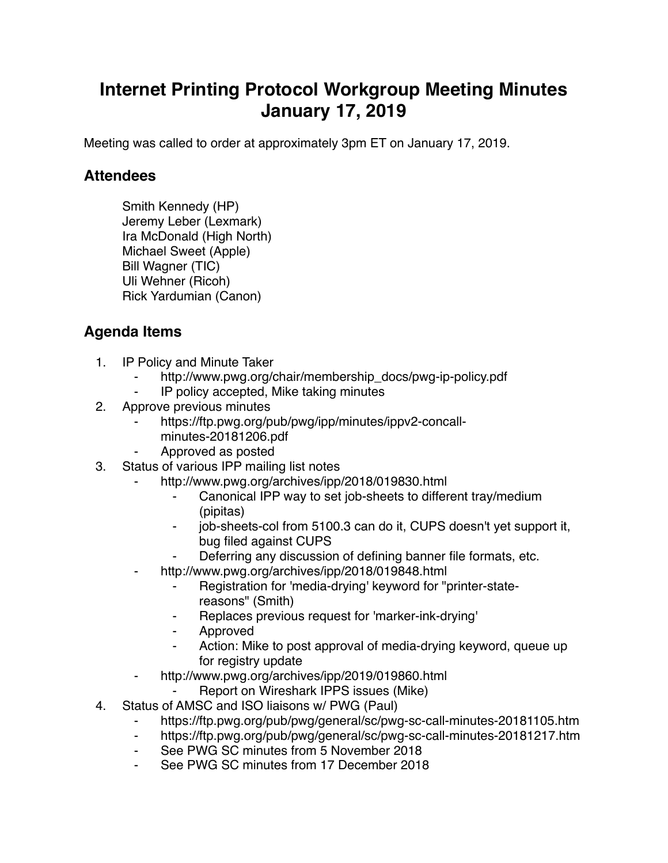## **Internet Printing Protocol Workgroup Meeting Minutes January 17, 2019**

Meeting was called to order at approximately 3pm ET on January 17, 2019.

## **Attendees**

Smith Kennedy (HP) Jeremy Leber (Lexmark) Ira McDonald (High North) Michael Sweet (Apple) Bill Wagner (TIC) Uli Wehner (Ricoh) Rick Yardumian (Canon)

## **Agenda Items**

- 1. IP Policy and Minute Taker
	- http://www.pwg.org/chair/membership\_docs/pwg-ip-policy.pdf
	- ⁃ IP policy accepted, Mike taking minutes
- 2. Approve previous minutes
	- https://ftp.pwg.org/pub/pwg/ipp/minutes/ippv2-concallminutes-20181206.pdf
	- ⁃ Approved as posted
- 3. Status of various IPP mailing list notes
	- http://www.pwg.org/archives/ipp/2018/019830.html
		- Canonical IPP way to set job-sheets to different tray/medium (pipitas)
		- job-sheets-col from 5100.3 can do it, CUPS doesn't yet support it, bug filed against CUPS
	- Deferring any discussion of defining banner file formats, etc.
	- http://www.pwg.org/archives/ipp/2018/019848.html
		- Registration for 'media-drying' keyword for "printer-statereasons" (Smith)
		- Replaces previous request for 'marker-ink-drying'
		- **Approved**
		- ⁃ Action: Mike to post approval of media-drying keyword, queue up for registry update
	- ⁃ http://www.pwg.org/archives/ipp/2019/019860.html
		- Report on Wireshark IPPS issues (Mike)
- 4. Status of AMSC and ISO liaisons w/ PWG (Paul)
	- https://ftp.pwg.org/pub/pwg/general/sc/pwg-sc-call-minutes-20181105.htm
	- ⁃ https://ftp.pwg.org/pub/pwg/general/sc/pwg-sc-call-minutes-20181217.htm
	- See PWG SC minutes from 5 November 2018
	- See PWG SC minutes from 17 December 2018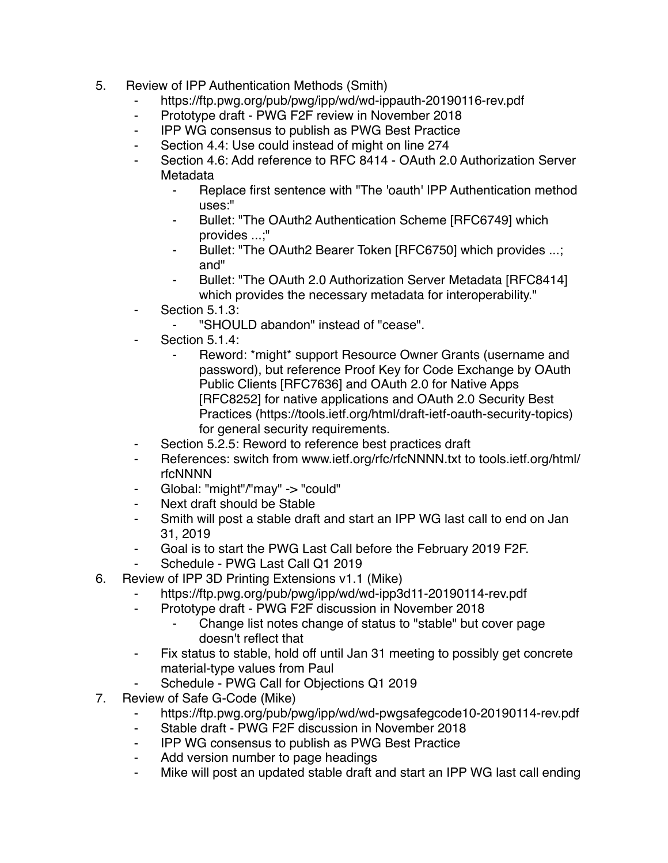- 5. Review of IPP Authentication Methods (Smith)
	- ⁃ https://ftp.pwg.org/pub/pwg/ipp/wd/wd-ippauth-20190116-rev.pdf
	- Prototype draft PWG F2F review in November 2018
	- ⁃ IPP WG consensus to publish as PWG Best Practice
	- ⁃ Section 4.4: Use could instead of might on line 274
	- Section 4.6: Add reference to RFC 8414 OAuth 2.0 Authorization Server Metadata
		- ⁃ Replace first sentence with "The 'oauth' IPP Authentication method uses:"
		- Bullet: "The OAuth2 Authentication Scheme [RFC6749] which provides ...;"
		- ⁃ Bullet: "The OAuth2 Bearer Token [RFC6750] which provides ...; and"
		- Bullet: "The OAuth 2.0 Authorization Server Metadata [RFC8414] which provides the necessary metadata for interoperability."
	- Section 5.1.3:
		- ⁃ "SHOULD abandon" instead of "cease".
	- Section 5.1.4:
		- Reword: \*might\* support Resource Owner Grants (username and password), but reference Proof Key for Code Exchange by OAuth Public Clients [RFC7636] and OAuth 2.0 for Native Apps [RFC8252] for native applications and OAuth 2.0 Security Best Practices (https://tools.ietf.org/html/draft-ietf-oauth-security-topics) for general security requirements.
	- ⁃ Section 5.2.5: Reword to reference best practices draft
	- References: switch from www.ietf.org/rfc/rfcNNNN.txt to tools.ietf.org/html/ rfcNNNN
	- ⁃ Global: "might"/"may" -> "could"
	- Next draft should be Stable
	- Smith will post a stable draft and start an IPP WG last call to end on Jan 31, 2019
	- ⁃ Goal is to start the PWG Last Call before the February 2019 F2F.
	- Schedule PWG Last Call Q1 2019
- 6. Review of IPP 3D Printing Extensions v1.1 (Mike)
	- https://ftp.pwg.org/pub/pwg/ipp/wd/wd-ipp3d11-20190114-rev.pdf
		- ⁃ Prototype draft PWG F2F discussion in November 2018
			- ⁃ Change list notes change of status to "stable" but cover page doesn't reflect that
	- ⁃ Fix status to stable, hold off until Jan 31 meeting to possibly get concrete material-type values from Paul
	- Schedule PWG Call for Objections Q1 2019
- 7. Review of Safe G-Code (Mike)
	- https://ftp.pwg.org/pub/pwg/ipp/wd/wd-pwgsafegcode10-20190114-rev.pdf
	- Stable draft PWG F2F discussion in November 2018
	- ⁃ IPP WG consensus to publish as PWG Best Practice
	- Add version number to page headings
	- ⁃ Mike will post an updated stable draft and start an IPP WG last call ending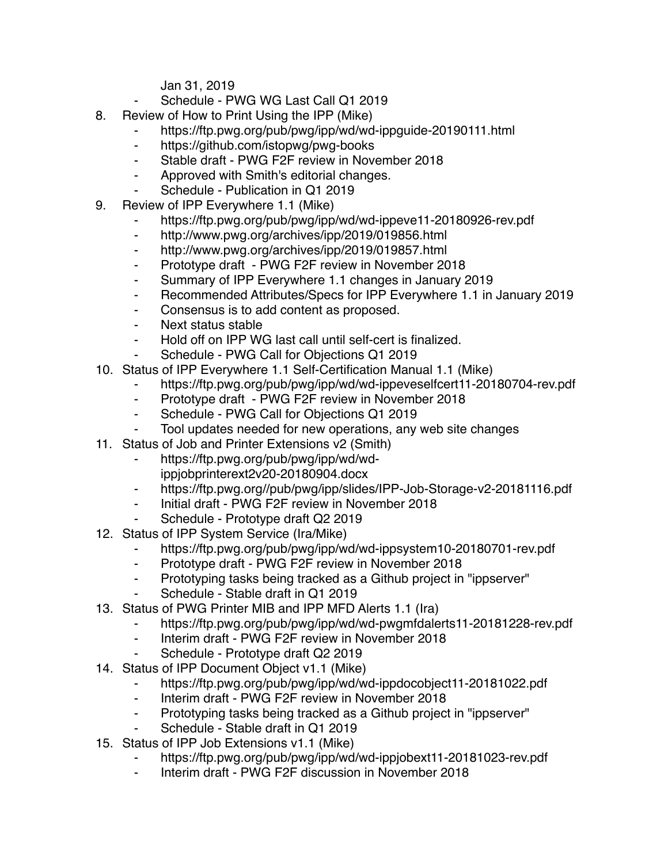Jan 31, 2019

- Schedule PWG WG Last Call Q1 2019
- 8. Review of How to Print Using the IPP (Mike)
	- ⁃ https://ftp.pwg.org/pub/pwg/ipp/wd/wd-ippguide-20190111.html
	- ⁃ https://github.com/istopwg/pwg-books
	- ⁃ Stable draft PWG F2F review in November 2018
	- ⁃ Approved with Smith's editorial changes.
	- Schedule Publication in Q1 2019
- 9. Review of IPP Everywhere 1.1 (Mike)
	- https://ftp.pwg.org/pub/pwg/ipp/wd/wd-ippeve11-20180926-rev.pdf
	- ⁃ http://www.pwg.org/archives/ipp/2019/019856.html
	- ⁃ http://www.pwg.org/archives/ipp/2019/019857.html
	- ⁃ Prototype draft PWG F2F review in November 2018
	- ⁃ Summary of IPP Everywhere 1.1 changes in January 2019
	- ⁃ Recommended Attributes/Specs for IPP Everywhere 1.1 in January 2019
	- Consensus is to add content as proposed.
	- ⁃ Next status stable
	- ⁃ Hold off on IPP WG last call until self-cert is finalized.
	- Schedule PWG Call for Objections Q1 2019
- 10. Status of IPP Everywhere 1.1 Self-Certification Manual 1.1 (Mike)
	- ⁃ https://ftp.pwg.org/pub/pwg/ipp/wd/wd-ippeveselfcert11-20180704-rev.pdf
	- ⁃ Prototype draft PWG F2F review in November 2018
	- Schedule PWG Call for Objections Q1 2019
	- Tool updates needed for new operations, any web site changes
- 11. Status of Job and Printer Extensions v2 (Smith)
	- ⁃ https://ftp.pwg.org/pub/pwg/ipp/wd/wdippjobprinterext2v20-20180904.docx
	- ⁃ https://ftp.pwg.org//pub/pwg/ipp/slides/IPP-Job-Storage-v2-20181116.pdf
	- Initial draft PWG F2F review in November 2018
	- Schedule Prototype draft Q2 2019
- 12. Status of IPP System Service (Ira/Mike)
	- ⁃ https://ftp.pwg.org/pub/pwg/ipp/wd/wd-ippsystem10-20180701-rev.pdf
	- Prototype draft PWG F2F review in November 2018
	- ⁃ Prototyping tasks being tracked as a Github project in "ippserver"
	- Schedule Stable draft in Q1 2019
- 13. Status of PWG Printer MIB and IPP MFD Alerts 1.1 (Ira)
	- ⁃ https://ftp.pwg.org/pub/pwg/ipp/wd/wd-pwgmfdalerts11-20181228-rev.pdf
	- ⁃ Interim draft PWG F2F review in November 2018
	- Schedule Prototype draft Q2 2019
- 14. Status of IPP Document Object v1.1 (Mike)
	- https://ftp.pwg.org/pub/pwg/ipp/wd/wd-ippdocobject11-20181022.pdf
	- ⁃ Interim draft PWG F2F review in November 2018
	- Prototyping tasks being tracked as a Github project in "ippserver"
	- Schedule Stable draft in Q1 2019
- 15. Status of IPP Job Extensions v1.1 (Mike)
	- https://ftp.pwg.org/pub/pwg/ipp/wd/wd-ippjobext11-20181023-rev.pdf
	- ⁃ Interim draft PWG F2F discussion in November 2018